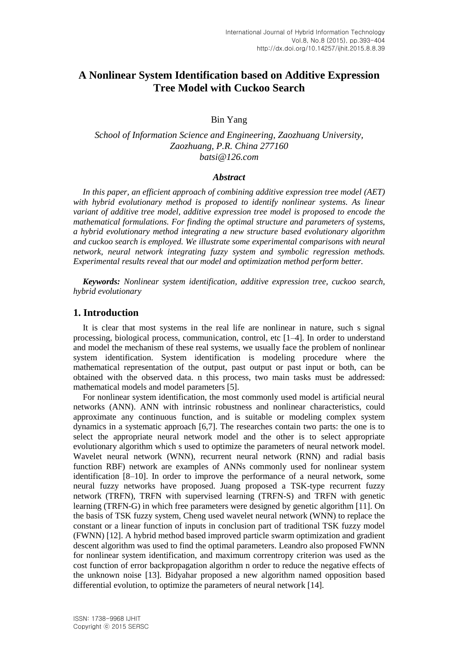# **A Nonlinear System Identification based on Additive Expression Tree Model with Cuckoo Search**

Bin Yang

*School of Information Science and Engineering, Zaozhuang University, Zaozhuang, P.R. China 277160 batsi@126.com*

#### *Abstract*

*In this paper, an efficient approach of combining additive expression tree model (AET) with hybrid evolutionary method is proposed to identify nonlinear systems. As linear variant of additive tree model, additive expression tree model is proposed to encode the mathematical formulations. For finding the optimal structure and parameters of systems, a hybrid evolutionary method integrating a new structure based evolutionary algorithm and cuckoo search is employed. We illustrate some experimental comparisons with neural network, neural network integrating fuzzy system and symbolic regression methods. Experimental results reveal that our model and optimization method perform better.*

*Keywords: Nonlinear system identification, additive expression tree, cuckoo search, hybrid evolutionary*

### **1. Introduction**

It is clear that most systems in the real life are nonlinear in nature, such s signal processing, biological process, communication, control, etc [1–4]. In order to understand and model the mechanism of these real systems, we usually face the problem of nonlinear system identification. System identification is modeling procedure where the mathematical representation of the output, past output or past input or both, can be obtained with the observed data. n this process, two main tasks must be addressed: mathematical models and model parameters [5].

For nonlinear system identification, the most commonly used model is artificial neural networks (ANN). ANN with intrinsic robustness and nonlinear characteristics, could approximate any continuous function, and is suitable or modeling complex system dynamics in a systematic approach [6,7]. The researches contain two parts: the one is to select the appropriate neural network model and the other is to select appropriate evolutionary algorithm which s used to optimize the parameters of neural network model. Wavelet neural network (WNN), recurrent neural network (RNN) and radial basis function RBF) network are examples of ANNs commonly used for nonlinear system identification [8–10]. In order to improve the performance of a neural network, some neural fuzzy networks have proposed. Juang proposed a TSK-type recurrent fuzzy network (TRFN), TRFN with supervised learning (TRFN-S) and TRFN with genetic learning (TRFN-G) in which free parameters were designed by genetic algorithm [11]. On the basis of TSK fuzzy system, Cheng used wavelet neural network (WNN) to replace the constant or a linear function of inputs in conclusion part of traditional TSK fuzzy model (FWNN) [12]. A hybrid method based improved particle swarm optimization and gradient descent algorithm was used to find the optimal parameters. Leandro also proposed FWNN for nonlinear system identification, and maximum correntropy criterion was used as the cost function of error backpropagation algorithm n order to reduce the negative effects of the unknown noise [13]. Bidyahar proposed a new algorithm named opposition based differential evolution, to optimize the parameters of neural network [14].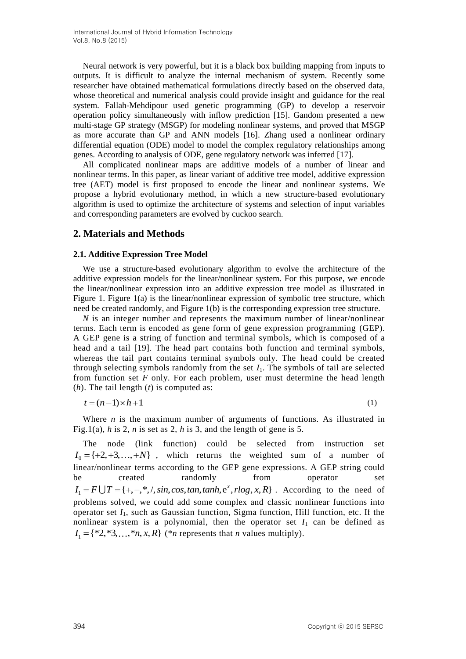Neural network is very powerful, but it is a black box building mapping from inputs to outputs. It is difficult to analyze the internal mechanism of system. Recently some researcher have obtained mathematical formulations directly based on the observed data, whose theoretical and numerical analysis could provide insight and guidance for the real system. Fallah-Mehdipour used genetic programming (GP) to develop a reservoir operation policy simultaneously with inflow prediction [15]. Gandom presented a new multi-stage GP strategy (MSGP) for modeling nonlinear systems, and proved that MSGP as more accurate than GP and ANN models [16]. Zhang used a nonlinear ordinary differential equation (ODE) model to model the complex regulatory relationships among genes. According to analysis of ODE, gene regulatory network was inferred [17].

All complicated nonlinear maps are additive models of a number of linear and nonlinear terms. In this paper, as linear variant of additive tree model, additive expression tree (AET) model is first proposed to encode the linear and nonlinear systems. We propose a hybrid evolutionary method, in which a new structure-based evolutionary algorithm is used to optimize the architecture of systems and selection of input variables and corresponding parameters are evolved by cuckoo search.

### **2. Materials and Methods**

#### **2.1. Additive Expression Tree Model**

We use a structure-based evolutionary algorithm to evolve the architecture of the additive expression models for the linear/nonlinear system. For this purpose, we encode the linear/nonlinear expression into an additive expression tree model as illustrated in Figure 1. Figure 1(a) is the linear/nonlinear expression of symbolic tree structure, which need be created randomly, and Figure 1(b) is the corresponding expression tree structure.

*N* is an integer number and represents the maximum number of linear/nonlinear terms. Each term is encoded as gene form of gene expression programming (GEP). A GEP gene is a string of function and terminal symbols, which is composed of a head and a tail [19]. The head part contains both function and terminal symbols, whereas the tail part contains terminal symbols only. The head could be created through selecting symbols randomly from the set  $I_1$ . The symbols of tail are selected from function set *F* only. For each problem, user must determine the head length (*h*). The tail length (*t*) is computed as:

$$
t = (n-1) \times h + 1 \tag{1}
$$

Where *n* is the maximum number of arguments of functions. As illustrated in Fig.1(a),  $h$  is 2,  $n$  is set as 2,  $h$  is 3, and the length of gene is 5.

The node (link function) could be selected from instruction set  $I_0 = \{+2, +3, \ldots, +N\}$ , which returns the weighted sum of a number of linear/nonlinear terms according to the GEP gene expressions. A GEP string could be created randomly from operator set inear/nonlinear terms according to the GEP gene expressions. A GEP string could<br>
oe created randomly from operator set<br>  $I_1 = F \cup T = \{+, -, *, /, sin, cos, tan, tanh, e^x, rlog, x, R\}$ . According to the need of problems solved, we could add some complex and classic nonlinear functions into operator set *I*1, such as Gaussian function, Sigma function, Hill function, etc. If the nonlinear system is a polynomial, then the operator set  $I_1$  can be defined as  $I_1 = \{ *2, *3, ..., *n, x, R \}$  (\**n* represents that *n* values multiply).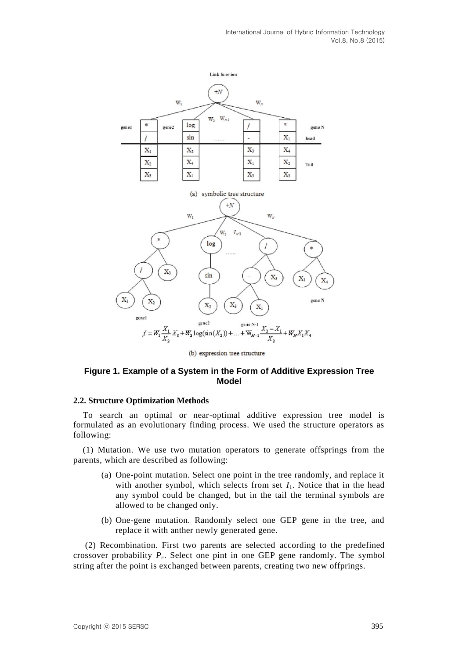

### **Figure 1. Example of a System in the Form of Additive Expression Tree Model**

### **2.2. Structure Optimization Methods**

To search an optimal or near-optimal additive expression tree model is formulated as an evolutionary finding process. We used the structure operators as following:

(1) Mutation. We use two mutation operators to generate offsprings from the parents, which are described as following:

- (a) One-point mutation. Select one point in the tree randomly, and replace it with another symbol, which selects from set  $I_1$ . Notice that in the head any symbol could be changed, but in the tail the terminal symbols are allowed to be changed only.
- (b) One-gene mutation. Randomly select one GEP gene in the tree, and replace it with anther newly generated gene.

(2) Recombination. First two parents are selected according to the predefined crossover probability *P<sup>c</sup>* . Select one pint in one GEP gene randomly. The symbol string after the point is exchanged between parents, creating two new offprings.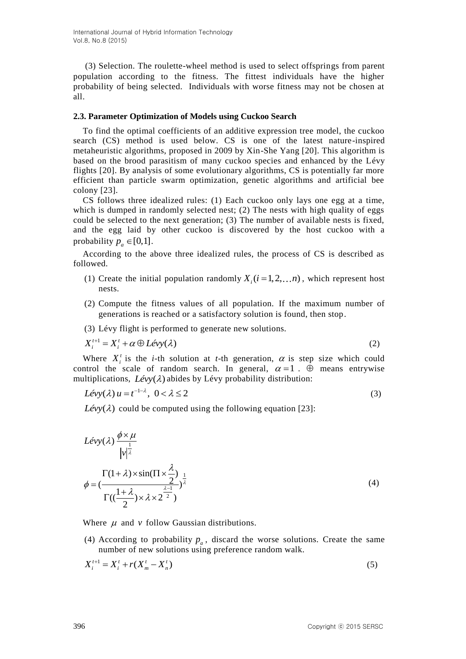(3) Selection. The roulette-wheel method is used to select offsprings from parent population according to the fitness. The fittest individuals have the higher probability of being selected. Individuals with worse fitness may not be chosen at all.

### **2.3. Parameter Optimization of Models using Cuckoo Search**

To find the optimal coefficients of an additive expression tree model, the cuckoo search (CS) method is used below. CS is one of the latest nature-inspired metaheuristic algorithms, proposed in 2009 by Xin-She Yang [20]. This algorithm is based on the brood parasitism of many cuckoo species and enhanced by the Lévy flights [20]. By analysis of some evolutionary algorithms, CS is potentially far more efficient than particle swarm optimization, genetic algorithms and artificial bee colony [23].

CS follows three idealized rules: (1) Each cuckoo only lays one egg at a time, which is dumped in randomly selected nest;  $(2)$  The nests with high quality of eggs could be selected to the next generation; (3) The number of available nests is fixed, and the egg laid by other cuckoo is discovered by the host cuckoo with a probability  $p_a \in [0,1]$ .

According to the above three idealized rules, the process of CS is described as followed.

- (1) Create the initial population randomly  $X_i$  ( $i = 1, 2, \ldots n$ ), which represent host nests.
- (2) Compute the fitness values of all population. If the maximum number of generations is reached or a satisfactory solution is found, then stop.
- (3) Lévy flight is performed to generate new solutions.

$$
X_i^{t+1} = X_i^t + \alpha \oplus L\acute{e}vy(\lambda)
$$
 (2)

Where  $X_i^t$  is the *i*-th solution at *t*-th generation,  $\alpha$  is step size which could control the scale of random search. In general,  $\alpha = 1$ .  $\oplus$  means entrywise multiplications,  $Lévy(\lambda)$  abides by Lévy probability distribution:

$$
Lévy(\lambda)u = t^{-1-\lambda}, \ 0 < \lambda \le 2
$$
 (3)

Lévy( $\lambda$ ) could be computed using the following equation [23]:

$$
Lévy(\lambda) \frac{\phi \times \mu}{|\mathbf{v}|^{\frac{1}{\lambda}}}
$$
  

$$
\phi = \left(\frac{\Gamma(1+\lambda) \times \sin(\Pi \times \frac{\lambda}{2})}{\Gamma((\frac{1+\lambda}{2}) \times \lambda \times 2^{\frac{\lambda-1}{2}})}\right)^{\frac{1}{\lambda}}
$$
(4)

Where  $\mu$  and  $\nu$  follow Gaussian distributions.

(4) According to probability  $p_a$ , discard the worse solutions. Create the same number of new solutions using preference random walk.

$$
X_i^{t+1} = X_i^t + r(X_m^t - X_n^t)
$$
\n(5)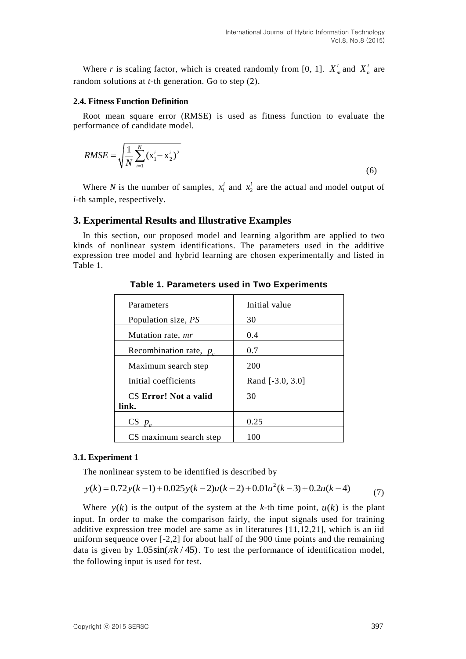Where *r* is scaling factor, which is created randomly from [0, 1].  $X_m^t$  and  $X_n^t$  are random solutions at *t*-th generation. Go to step (2).

#### **2.4. Fitness Function Definition**

Root mean square error (RMSE) is used as fitness function to evaluate the performance of candidate model.

$$
RMSE = \sqrt{\frac{1}{N} \sum_{i=1}^{N} (x_1^i - x_2^i)^2}
$$
(6)

Where *N* is the number of samples,  $x_1^k$  $x_1^i$  and  $x_2^i$  $x_2^i$  are the actual and model output of *i*-th sample, respectively.

### **3. Experimental Results and Illustrative Examples**

In this section, our proposed model and learning algorithm are applied to two kinds of nonlinear system identifications. The parameters used in the additive expression tree model and hybrid learning are chosen experimentally and listed in Table 1.

| Parameters                 | Initial value    |
|----------------------------|------------------|
| Population size, <i>PS</i> | 30               |
| Mutation rate, <i>mr</i>   | 0.4              |
| Recombination rate, $p_c$  | 0.7              |
| Maximum search step        | 200              |
| Initial coefficients       | Rand [-3.0, 3.0] |
| CS Error! Not a valid      | 30               |
| link.                      |                  |
| $CS$ $p$                   | 0.25             |
| CS maximum search step     | 100              |

**Table 1. Parameters used in Two Experiments**

### **3.1. Experiment 1**

The nonlinear system to be identified is described by

**Experiment 1**  
The nonlinear system to be identified is described by  

$$
y(k) = 0.72y(k-1) + 0.025y(k-2)u(k-2) + 0.01u^2(k-3) + 0.2u(k-4)
$$
 (7)

Where  $y(k)$  is the output of the system at the *k*-th time point,  $u(k)$  is the plant input. In order to make the comparison fairly, the input signals used for training additive expression tree model are same as in literatures [11,12,21], which is an iid uniform sequence over [-2,2] for about half of the 900 time points and the remaining data is given by  $1.05\sin(\pi k/45)$ . To test the performance of identification model, the following input is used for test.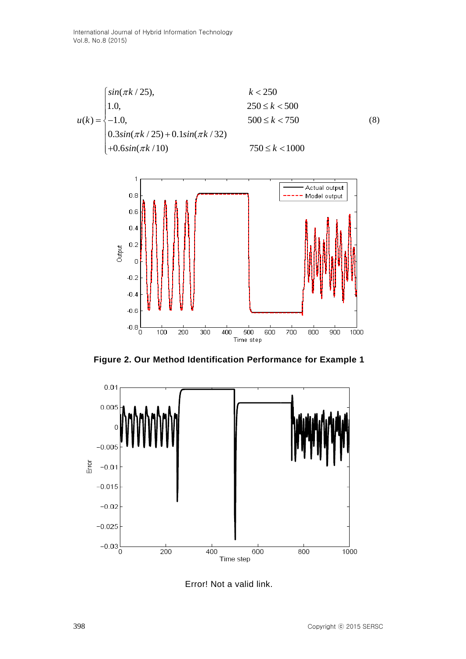



**Figure 2. Our Method Identification Performance for Example 1**



Error! Not a valid link.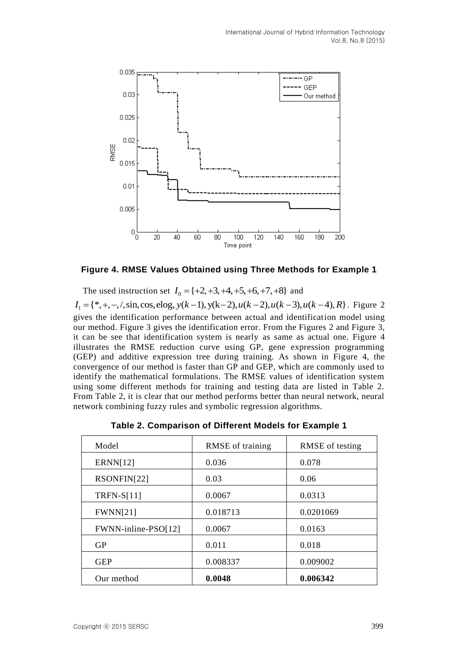

### **Figure 4. RMSE Values Obtained using Three Methods for Example 1**

The used instruction set  $I_0 = \{+2, +3, +4, +5, +6, +7, +8\}$  and **Figure 4. RMSE Values Obtained using Three Methods for Example 1**<br>The used instruction set  $I_0 = \{+2, +3, +4, +5, +6, +7, +8\}$  and<br> $I_1 = \{*, +, -, /, \sin, \cos, \cos, y(k-1), y(k-2), u(k-2), u(k-3), u(k-4), R\}$ . Figure 2 gives the identification performance between actual and identification model using our method. Figure 3 gives the identification error. From the Figures 2 and Figure 3, it can be see that identification system is nearly as same as actual one. Figure 4 illustrates the RMSE reduction curve using GP, gene expression programming (GEP) and additive expression tree during training. As shown in Figure 4, the convergence of our method is faster than GP and GEP, which are commonly used to identify the mathematical formulations. The RMSE values of identification system using some different methods for training and testing data are listed in Table 2. From Table 2, it is clear that our method performs better than neural network, neural network combining fuzzy rules and symbolic regression algorithms.

| Model               | RMSE of training | RMSE of testing |  |
|---------------------|------------------|-----------------|--|
| <b>ERNN[12]</b>     | 0.036            | 0.078           |  |
| RSONFIN[22]         | 0.03             | 0.06            |  |
| $TRFN-S[11]$        | 0.0067           | 0.0313          |  |
| FWNN[21]            | 0.018713         | 0.0201069       |  |
| FWNN-inline-PSO[12] | 0.0067           | 0.0163          |  |
| <b>GP</b>           | 0.011            | 0.018           |  |
| <b>GEP</b>          | 0.008337         | 0.009002        |  |
| Our method          | 0.0048           | 0.006342        |  |

**Table 2. Comparison of Different Models for Example 1**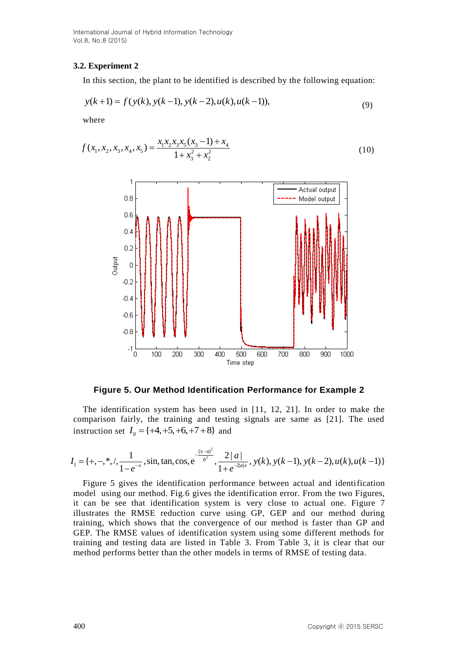International Journal of Hybrid Information Technology Vol.8, No.8 (2015)

#### **3.2. Experiment 2**

In this section, the plant to be identified is described by the following equation:  
\n
$$
y(k+1) = f(y(k), y(k-1), y(k-2), u(k), u(k-1)),
$$
\n(9)

where

$$
f(x_1, x_2, x_3, x_4, x_5) = \frac{x_1 x_2 x_3 x_5 (x_3 - 1) + x_4}{1 + x_3^2 + x_2^2}
$$
\n(10)



**Figure 5. Our Method Identification Performance for Example 2**

The identification system has been used in [11, 12, 21]. In order to make the

comparison fairly, the training and testing signals are same as [21]. The used  
instruction set 
$$
I_0 = \{+4, +5, +6, +7 +8\}
$$
 and  

$$
I_1 = \{+, -, *, /, \frac{1}{1-e^{-x}}, \sin, \tan, \cos, e^{-\frac{(x-a)^2}{b^2}}, \frac{2|a|}{1+e^{-2|a|x}}, y(k), y(k-1), y(k-2), u(k), u(k-1)\}
$$

Figure 5 gives the identification performance between actual and identification model using our method. Fig.6 gives the identification error. From the two Figures, it can be see that identification system is very close to actual one. Figure 7 illustrates the RMSE reduction curve using GP, GEP and our method during training, which shows that the convergence of our method is faster than GP and GEP. The RMSE values of identification system using some different methods for training and testing data are listed in Table 3. From Table 3, it is clear that our method performs better than the other models in terms of RMSE of testing data.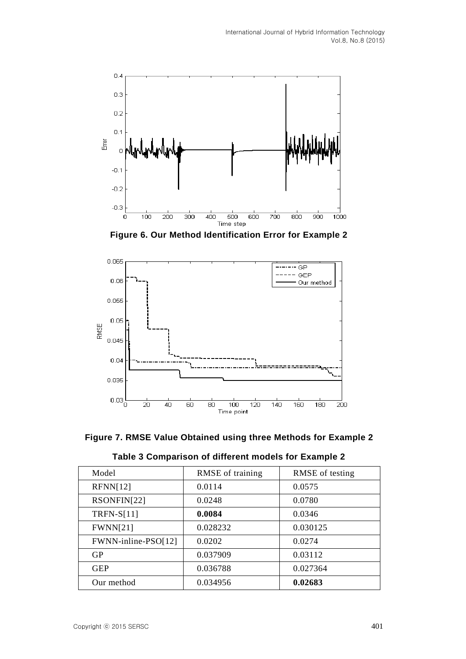

**Figure 6. Our Method Identification Error for Example 2**



**Figure 7. RMSE Value Obtained using three Methods for Example 2**

|  |  | Table 3 Comparison of different models for Example 2 |  |  |  |  |
|--|--|------------------------------------------------------|--|--|--|--|
|--|--|------------------------------------------------------|--|--|--|--|

| Model               | RMSE of training | RMSE of testing |
|---------------------|------------------|-----------------|
| RFNN[12]            | 0.0114           | 0.0575          |
| RSONFIN[22]         | 0.0248           | 0.0780          |
| $TRFN-S[11]$        | 0.0084           | 0.0346          |
| <b>FWNN[21]</b>     | 0.028232         | 0.030125        |
| FWNN-inline-PSO[12] | 0.0202           | 0.0274          |
| <b>GP</b>           | 0.037909         | 0.03112         |
| <b>GEP</b>          | 0.036788         | 0.027364        |
| Our method          | 0.034956         | 0.02683         |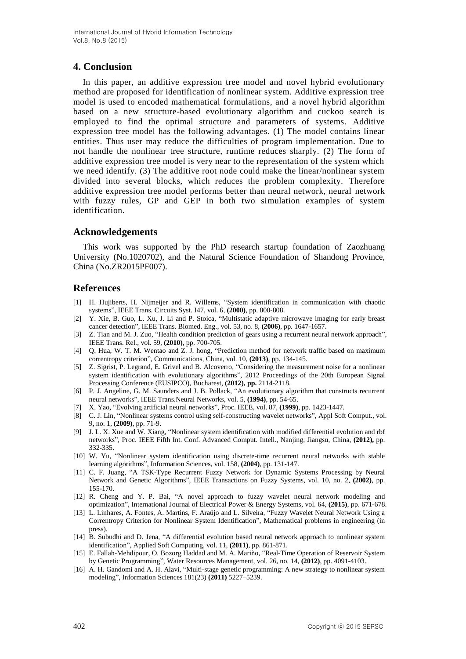# **4. Conclusion**

In this paper, an additive expression tree model and novel hybrid evolutionary method are proposed for identification of nonlinear system. Additive expression tree model is used to encoded mathematical formulations, and a novel hybrid algorithm based on a new structure-based evolutionary algorithm and cuckoo search is employed to find the optimal structure and parameters of systems. Additive expression tree model has the following advantages. (1) The model contains linear entities. Thus user may reduce the difficulties of program implementation. Due to not handle the nonlinear tree structure, runtime reduces sharply. (2) The form of additive expression tree model is very near to the representation of the system which we need identify. (3) The additive root node could make the linear/nonlinear system divided into several blocks, which reduces the problem complexity. Therefore additive expression tree model performs better than neural network, neural network with fuzzy rules, GP and GEP in both two simulation examples of system identification.

### **Acknowledgements**

This work was supported by the PhD research startup foundation of Zaozhuang University (No.1020702), and the Natural Science Foundation of Shandong Province, China (No.ZR2015PF007).

# **References**

- [1] H. Hujiberts, H. Nijmeijer and R. Willems, "System identification in communication with chaotic systems", IEEE Trans. Circuits Syst. I47, vol. 6, **(2000)**, pp. 800-808.
- [2] Y. Xie, B. Guo, L. Xu, J. Li and P. Stoica, "Multistatic adaptive microwave imaging for early breast cancer detection", IEEE Trans. Biomed. Eng., vol. 53, no. 8, **(2006)**, pp. 1647-1657.
- [3] Z. Tian and M. J. Zuo, "Health condition prediction of gears using a recurrent neural network approach", IEEE Trans. Rel., vol. 59, **(2010)**, pp. 700-705.
- [4] Q. Hua, W. T. M. Wentao and Z. J. hong, "Prediction method for network traffic based on maximum correntropy criterion", Communications, China, vol. 10, **(2013)**, pp. 134-145.
- [5] Z. Sigrist, P. Legrand, E. Grivel and B. Alcoverro, "Considering the measurement noise for a nonlinear system identification with evolutionary algorithms", 2012 Proceedings of the 20th European Signal Processing Conference (EUSIPCO), Bucharest, **(2012), pp.** 2114-2118.
- [6] P. J. Angeline, G. M. Saunders and J. B. Pollack, "An evolutionary algorithm that constructs recurrent neural networks", IEEE Trans.Neural Networks, vol. 5, **(1994)**, pp. 54-65.
- [7] X. Yao, "Evolving artificial neural networks", Proc. IEEE, vol. 87, **(1999)**, pp. 1423-1447.
- [8] C. J. Lin, "Nonlinear systems control using self-constructing wavelet networks", Appl Soft Comput., vol. 9, no. 1, **(2009)**, pp. 71-9.
- [9] J. L. X. Xue and W. Xiang, "Nonlinear system identification with modified differential evolution and rbf networks", Proc. IEEE Fifth Int. Conf. Advanced Comput. Intell., Nanjing, Jiangsu, China, **(2012),** pp. 332-335.
- [10] W. Yu, "Nonlinear system identification using discrete-time recurrent neural networks with stable learning algorithms", Information Sciences, vol. 158, **(2004)**, pp. 131-147.
- [11] C. F. Juang, "A TSK-Type Recurrent Fuzzy Network for Dynamic Systems Processing by Neural Network and Genetic Algorithms", IEEE Transactions on Fuzzy Systems, vol. 10, no. 2, **(2002)**, pp. 155-170.
- [12] R. Cheng and Y. P. Bai, "A novel approach to fuzzy wavelet neural network modeling and optimization", International Journal of Electrical Power & Energy Systems, vol. 64, **(2015)**, pp. 671-678.
- [13] L. Linhares, A. Fontes, A. Martins, F. Araújo and L. Silveira, "Fuzzy Wavelet Neural Network Using a Correntropy Criterion for Nonlinear System Identification", Mathematical problems in engineering (in press).
- [14] B. Subudhi and D. Jena, "A differential evolution based neural network approach to nonlinear system identification", Applied Soft Computing, vol. 11, **(2011)**, pp. 861-871.
- [15] E. Fallah-Mehdipour, O. Bozorg Haddad and M. A. Mariño, "Real-Time Operation of Reservoir System by Genetic Programming", Water Resources Management, vol. 26, no. 14, **(2012)**, pp. 4091-4103.
- [16] A. H. Gandomi and A. H. Alavi, "Multi-stage genetic programming: A new strategy to nonlinear system modeling", Information Sciences 181(23) **(2011)** 5227–5239.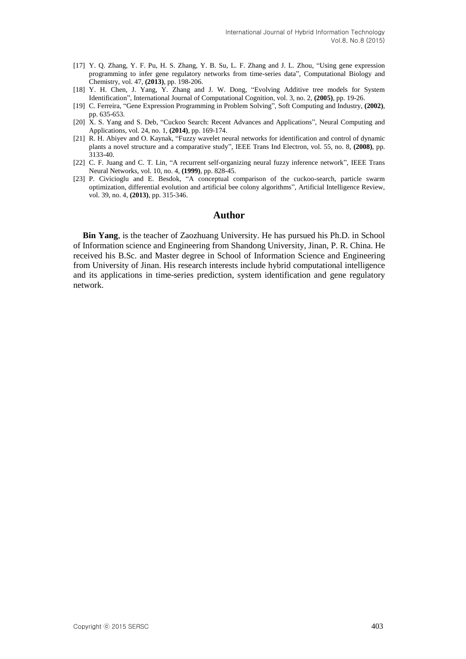- [17] Y. Q. Zhang, Y. F. Pu, H. S. Zhang, Y. B. Su, L. F. Zhang and J. L. Zhou, "Using gene expression programming to infer gene regulatory networks from time-series data", Computational Biology and Chemistry, vol. 47, **(2013)**, pp. 198-206.
- [18] Y. H. Chen, J. Yang, Y. Zhang and J. W. Dong, "Evolving Additive tree models for System Identification", International Journal of Computational Cognition, vol. 3, no. 2, **(2005)**, pp. 19-26.
- [19] C. Ferreira, "Gene Expression Programming in Problem Solving", Soft Computing and Industry, **(2002)**, pp. 635-653.
- [20] X. S. Yang and S. Deb, "Cuckoo Search: Recent Advances and Applications", Neural Computing and Applications, vol. 24, no. 1, **(2014)**, pp. 169-174.
- [21] R. H. Abiyev and O. Kaynak, "Fuzzy wavelet neural networks for identification and control of dynamic plants a novel structure and a comparative study", IEEE Trans Ind Electron, vol. 55, no. 8, **(2008)**, pp. 3133-40.
- [22] C. F. Juang and C. T. Lin, "A recurrent self-organizing neural fuzzy inference network", IEEE Trans Neural Networks, vol. 10, no. 4, **(1999)**, pp. 828-45.
- [23] P. Civicioglu and E. Besdok, "A conceptual comparison of the cuckoo-search, particle swarm optimization, differential evolution and artificial bee colony algorithms", Artificial Intelligence Review, vol. 39, no. 4, **(2013)**, pp. 315-346.

#### **Author**

**Bin Yang**, is the teacher of Zaozhuang University. He has pursued his Ph.D. in School of Information science and Engineering from Shandong University, Jinan, P. R. China. He received his B.Sc. and Master degree in School of Information Science and Engineering from University of Jinan. His research interests include hybrid computational intelligence and its applications in time-series prediction, system identification and gene regulatory network.